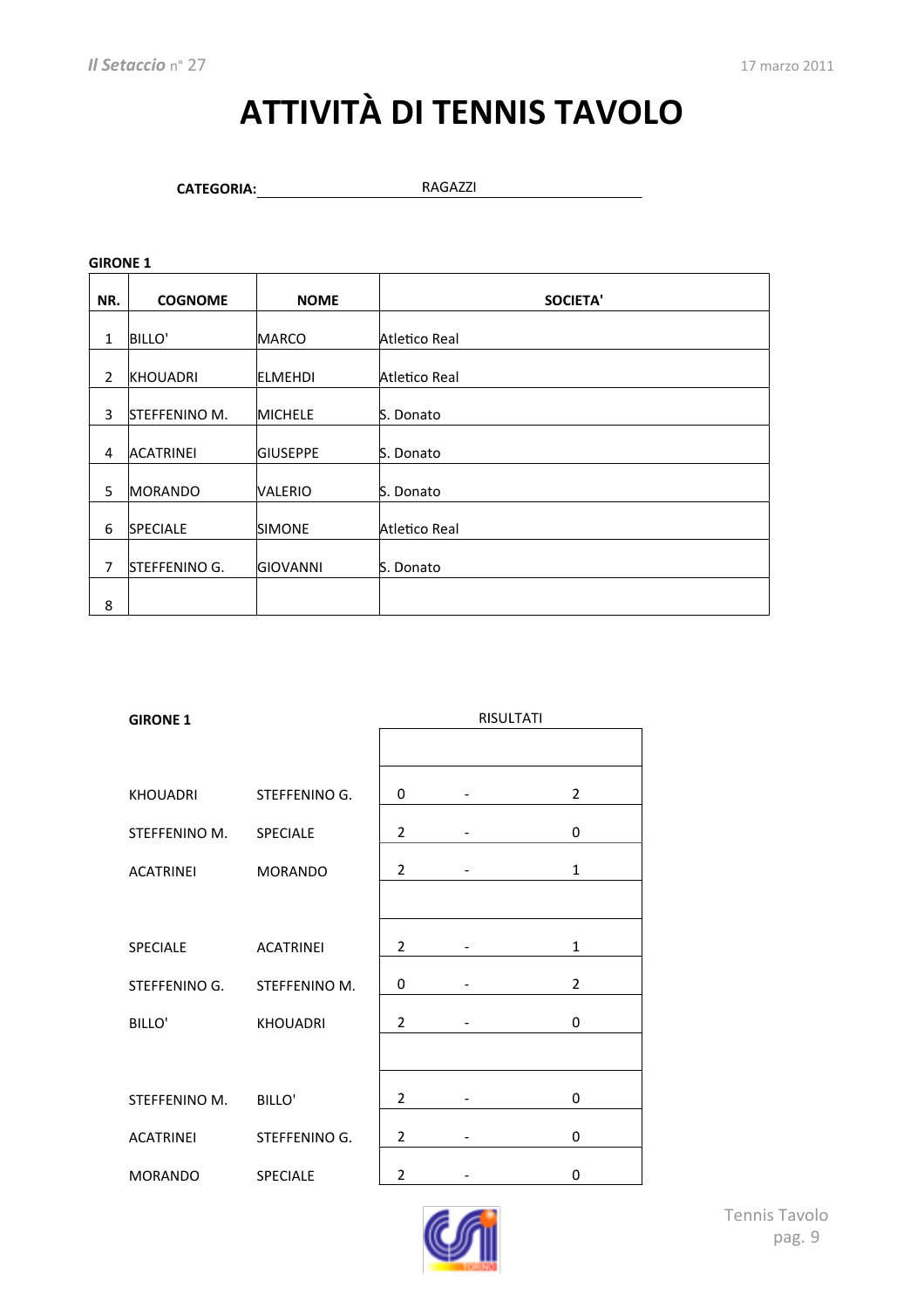# **ATTIVITÀ DI TENNIS TAVOLO**

CATEGORIA: RAGAZZI

| NR.            | <b>COGNOME</b>   | <b>NOME</b>     | <b>SOCIETA'</b> |
|----------------|------------------|-----------------|-----------------|
|                |                  |                 |                 |
| $\mathbf{1}$   | <b>BILLO'</b>    | <b>MARCO</b>    | Atletico Real   |
|                |                  |                 |                 |
| $\overline{2}$ | <b>KHOUADRI</b>  | <b>ELMEHDI</b>  | Atletico Real   |
|                |                  |                 |                 |
| 3              | STEFFENINO M.    | <b>MICHELE</b>  | S. Donato       |
|                |                  |                 |                 |
| 4              | <b>ACATRINEI</b> | <b>GIUSEPPE</b> | S. Donato       |
|                |                  |                 |                 |
| 5              | <b>MORANDO</b>   | VALERIO         | S. Donato       |
|                |                  |                 |                 |
| 6              | <b>SPECIALE</b>  | <b>SIMONE</b>   | Atletico Real   |
|                |                  |                 |                 |
| 7              | STEFFENINO G.    | <b>GIOVANNI</b> | S. Donato       |
|                |                  |                 |                 |
| 8              |                  |                 |                 |

| <b>GIRONE 1</b>  |                  | <b>RISULTATI</b> |  |                |
|------------------|------------------|------------------|--|----------------|
|                  |                  |                  |  |                |
| <b>KHOUADRI</b>  | STEFFENINO G.    | 0                |  | $\overline{2}$ |
| STEFFENINO M.    | <b>SPECIALE</b>  | 2                |  | 0              |
| <b>ACATRINEI</b> | <b>MORANDO</b>   | $\overline{2}$   |  | $\mathbf{1}$   |
|                  |                  |                  |  |                |
| <b>SPECIALE</b>  | <b>ACATRINEI</b> | 2                |  | $\mathbf{1}$   |
| STEFFENINO G.    | STEFFENINO M.    | 0                |  | $\overline{2}$ |
| BILLO'           | <b>KHOUADRI</b>  | 2                |  | 0              |
|                  |                  |                  |  |                |
| STEFFENINO M.    | BILLO'           | 2                |  | 0              |
| <b>ACATRINEI</b> | STEFFENINO G.    | 2                |  | 0              |
| <b>MORANDO</b>   | <b>SPECIALE</b>  | 2                |  | 0              |
|                  |                  |                  |  |                |

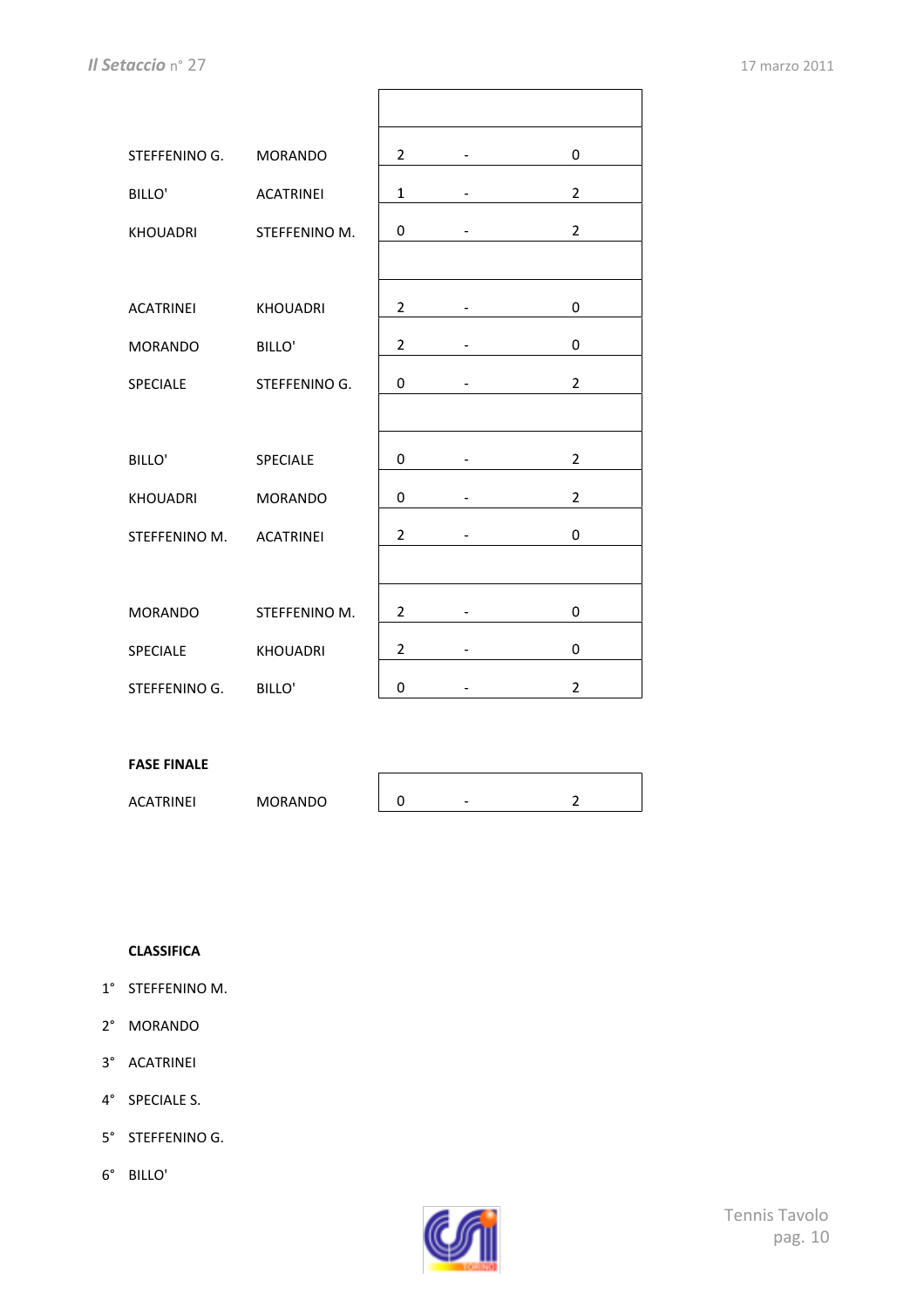$\overline{\phantom{a}}$ 

| STEFFENINO G.    | <b>MORANDO</b>   | $\overline{2}$ |                      | 0              |
|------------------|------------------|----------------|----------------------|----------------|
| <b>BILLO'</b>    | <b>ACATRINEI</b> | $\mathbf{1}$   |                      | $\overline{2}$ |
| KHOUADRI         | STEFFENINO M.    | 0              |                      | $\overline{2}$ |
|                  |                  |                |                      |                |
| <b>ACATRINEI</b> | <b>KHOUADRI</b>  | $\overline{2}$ |                      | 0              |
| <b>MORANDO</b>   | BILLO'           | $\overline{2}$ | $\ddot{\phantom{1}}$ | 0              |
| <b>SPECIALE</b>  | STEFFENINO G.    | 0              |                      | $\overline{2}$ |
|                  |                  |                |                      |                |
| <b>BILLO'</b>    | SPECIALE         | 0              |                      | $\overline{2}$ |
| KHOUADRI         | <b>MORANDO</b>   | 0              |                      | $\overline{2}$ |
| STEFFENINO M.    | <b>ACATRINEI</b> | $\overline{2}$ |                      | 0              |
|                  |                  |                |                      |                |
| <b>MORANDO</b>   | STEFFENINO M.    | $\overline{2}$ |                      | 0              |
| SPECIALE         | <b>KHOUADRI</b>  | $\overline{2}$ |                      | 0              |
| STEFFENINO G.    | BILLO'           | 0              |                      | $\overline{2}$ |

 $\Gamma$ 

#### **FASE FINALE**

ACATRINEI MORANDO 0 - 2

#### **CLASSIFICA**

- 1° STEFFENINO M.
- 2° MORANDO
- 3° ACATRINEI
- 4° SPECIALE S.
- 5° STEFFENINO G.
- 6° BILLO'

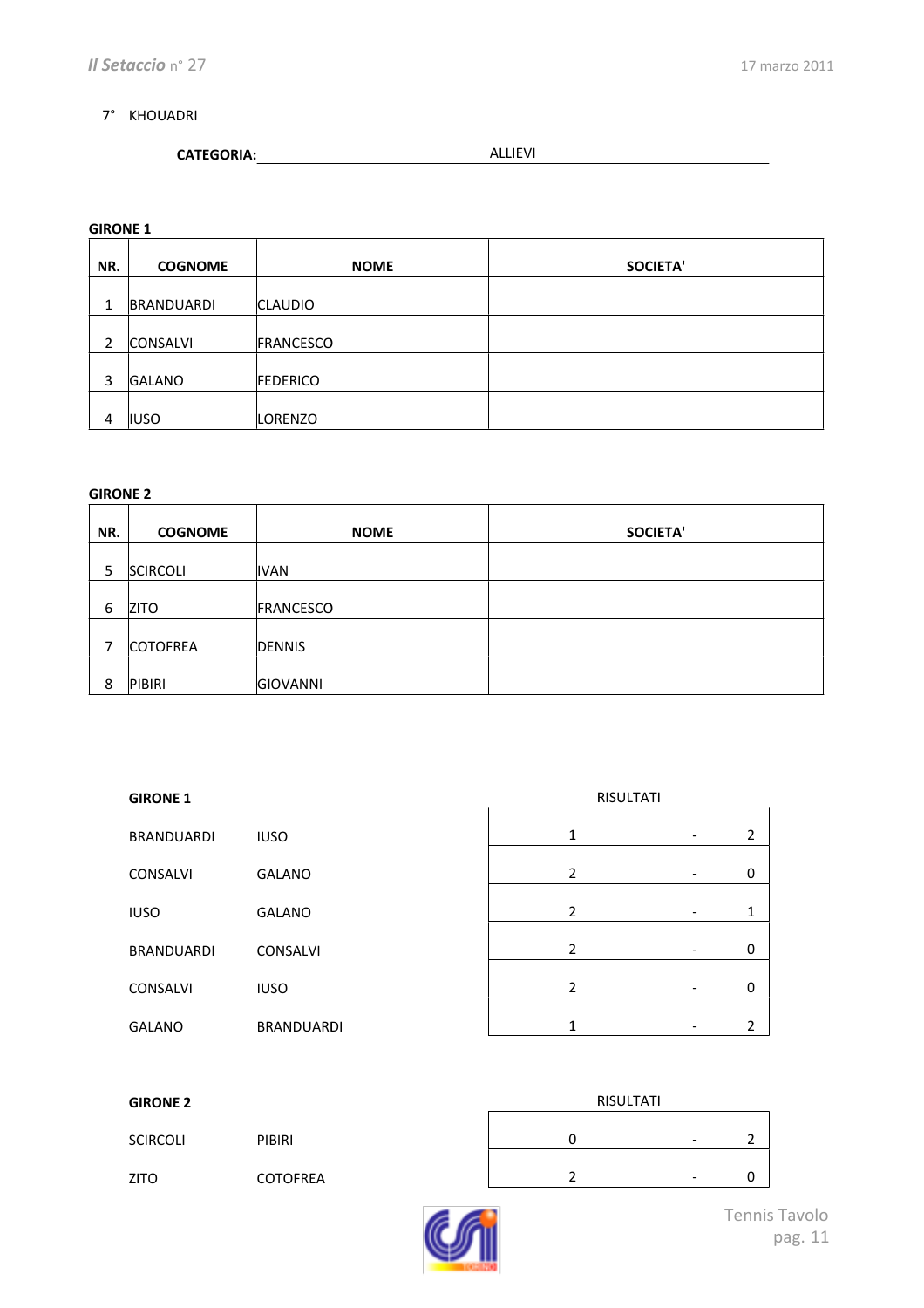#### 7° KHOUADRI

| <b>ALLIE VI</b> |
|-----------------|
|                 |

#### **GIRONE 1**

| NR.          | <b>COGNOME</b>  | <b>NOME</b>     | <b>SOCIETA'</b> |
|--------------|-----------------|-----------------|-----------------|
|              |                 |                 |                 |
| $\mathbf{1}$ | BRANDUARDI      | <b>CLAUDIO</b>  |                 |
| 2            | <b>CONSALVI</b> | FRANCESCO       |                 |
| 3            | <b>GALANO</b>   | <b>FEDERICO</b> |                 |
| 4            | <b>IUSO</b>     | LORENZO         |                 |

| NR. | <b>COGNOME</b>  | <b>NOME</b>     | <b>SOCIETA'</b> |
|-----|-----------------|-----------------|-----------------|
| 5   | <b>SCIRCOLI</b> | <b>IVAN</b>     |                 |
| 6   | <b>ZITO</b>     | FRANCESCO       |                 |
| 7   | <b>COTOFREA</b> | <b>DENNIS</b>   |                 |
| 8   | PIBIRI          | <b>GIOVANNI</b> |                 |

| <b>GIRONE 1</b>   |                   | <b>RISULTATI</b> |   |                |
|-------------------|-------------------|------------------|---|----------------|
| <b>BRANDUARDI</b> | <b>IUSO</b>       | 1                | ۰ | $\overline{2}$ |
| <b>CONSALVI</b>   | <b>GALANO</b>     | $\overline{2}$   | ٠ | 0              |
| <b>IUSO</b>       | <b>GALANO</b>     | $\overline{2}$   |   | 1              |
| <b>BRANDUARDI</b> | <b>CONSALVI</b>   | $\overline{2}$   |   | 0              |
| <b>CONSALVI</b>   | <b>IUSO</b>       | $\overline{2}$   |   | 0              |
| <b>GALANO</b>     | <b>BRANDUARDI</b> | 1                |   | 2              |

| <b>GIRONE 2</b> |                 | RISULTATI |                          |   |
|-----------------|-----------------|-----------|--------------------------|---|
| <b>SCIRCOLI</b> | <b>PIBIRI</b>   |           | $\overline{\phantom{a}}$ |   |
| <b>ZITO</b>     | <b>COTOFREA</b> |           | $\overline{\phantom{a}}$ | v |

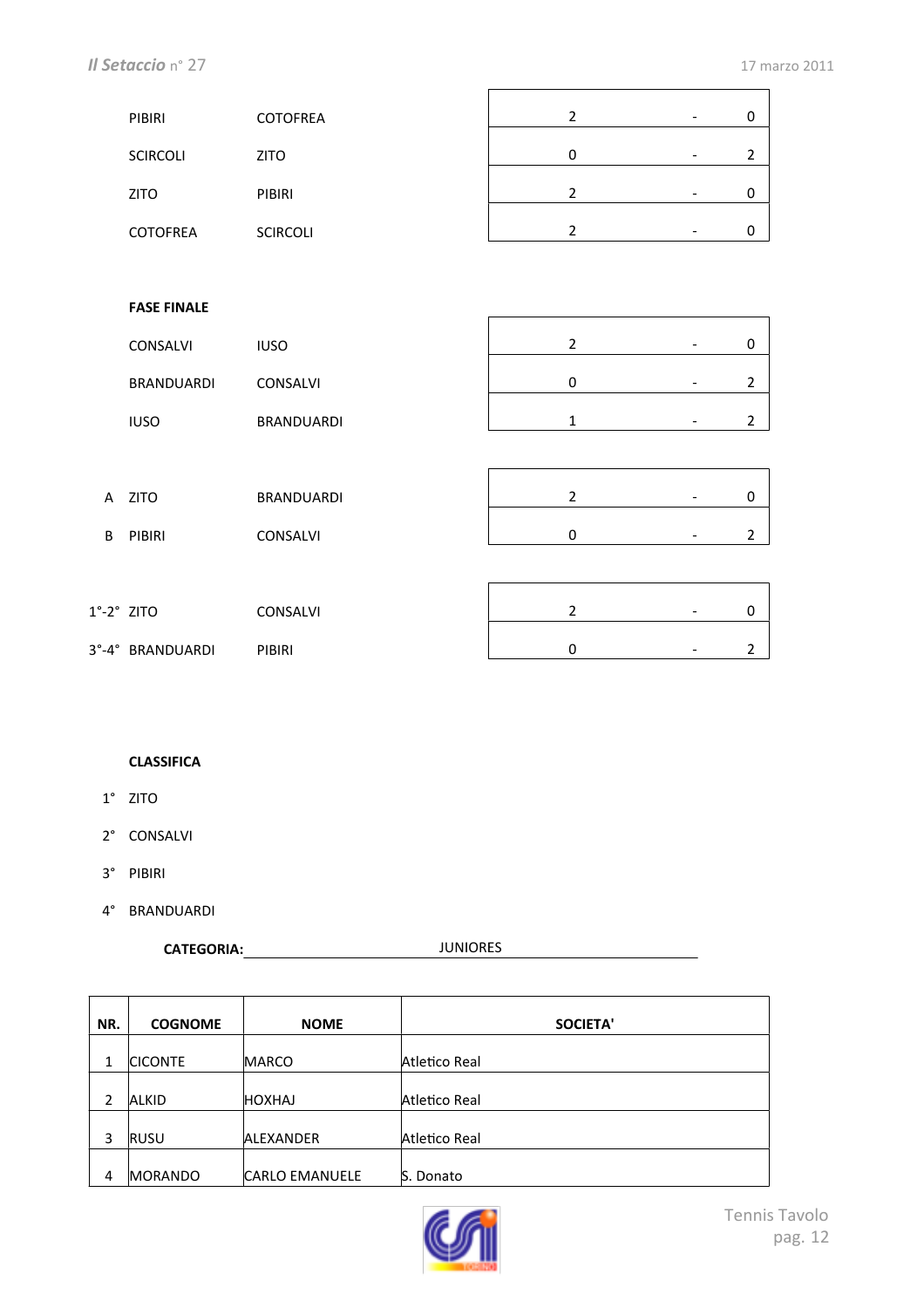$\overline{\phantom{0}}$ 

 $\overline{\phantom{0}}$ 

| PIBIRI          | <b>COTOFREA</b> |   | -                        |  |
|-----------------|-----------------|---|--------------------------|--|
| <b>SCIRCOLI</b> | <b>ZITO</b>     | ი | $\overline{\phantom{0}}$ |  |
|                 |                 |   |                          |  |
| <b>ZITO</b>     | <b>PIBIRI</b>   |   | ۰                        |  |
| <b>COTOFREA</b> | <b>SCIRCOLI</b> |   | ۰                        |  |

 $\overline{a}$ 

#### **FASE FINALE**

|   | .                 |                   |                          |                          |                |
|---|-------------------|-------------------|--------------------------|--------------------------|----------------|
|   | CONSALVI          | <b>IUSO</b>       | $\overline{2}$           | $\overline{\phantom{a}}$ | 0              |
|   | <b>BRANDUARDI</b> | CONSALVI          | 0                        | $\overline{\phantom{a}}$ | $\overline{2}$ |
|   | <b>IUSO</b>       | <b>BRANDUARDI</b> | 1                        | $\overline{\phantom{a}}$ | $\overline{2}$ |
|   |                   |                   |                          |                          |                |
|   | A ZITO            | <b>BRANDUARDI</b> | 2                        | $\overline{\phantom{a}}$ | 0              |
| B | PIBIRI            | CONSALVI          | 0                        | $\overline{\phantom{a}}$ | 2              |
|   |                   |                   |                          |                          |                |
|   | חדול 2°.          | <b>CONSALVI</b>   | $\overline{\phantom{a}}$ |                          | $\Omega$       |
|   |                   |                   |                          |                          |                |

| $1^\circ - 2^\circ$ ZITO |                  | <b>CONSALVI</b> |  | - |  |
|--------------------------|------------------|-----------------|--|---|--|
|                          | 3°-4° BRANDUARDI | <b>PIBIRI</b>   |  | - |  |

#### **CLASSIFICA**

- 1° ZITO
- 2° CONSALVI
- 3° PIBIRI
- 4° BRANDUARDI

**CATEGORIA:** JUNIORES

| NR. | <b>COGNOME</b> | <b>NOME</b>           | <b>SOCIETA'</b> |
|-----|----------------|-----------------------|-----------------|
|     |                |                       |                 |
| 1   | <b>CICONTE</b> | <b>MARCO</b>          | Atletico Real   |
| 2   | <b>ALKID</b>   | <b>HOXHAJ</b>         | Atletico Real   |
| 3   | <b>RUSU</b>    | ALEXANDER             | Atletico Real   |
| 4   | <b>MORANDO</b> | <b>CARLO EMANUELE</b> | S. Donato       |

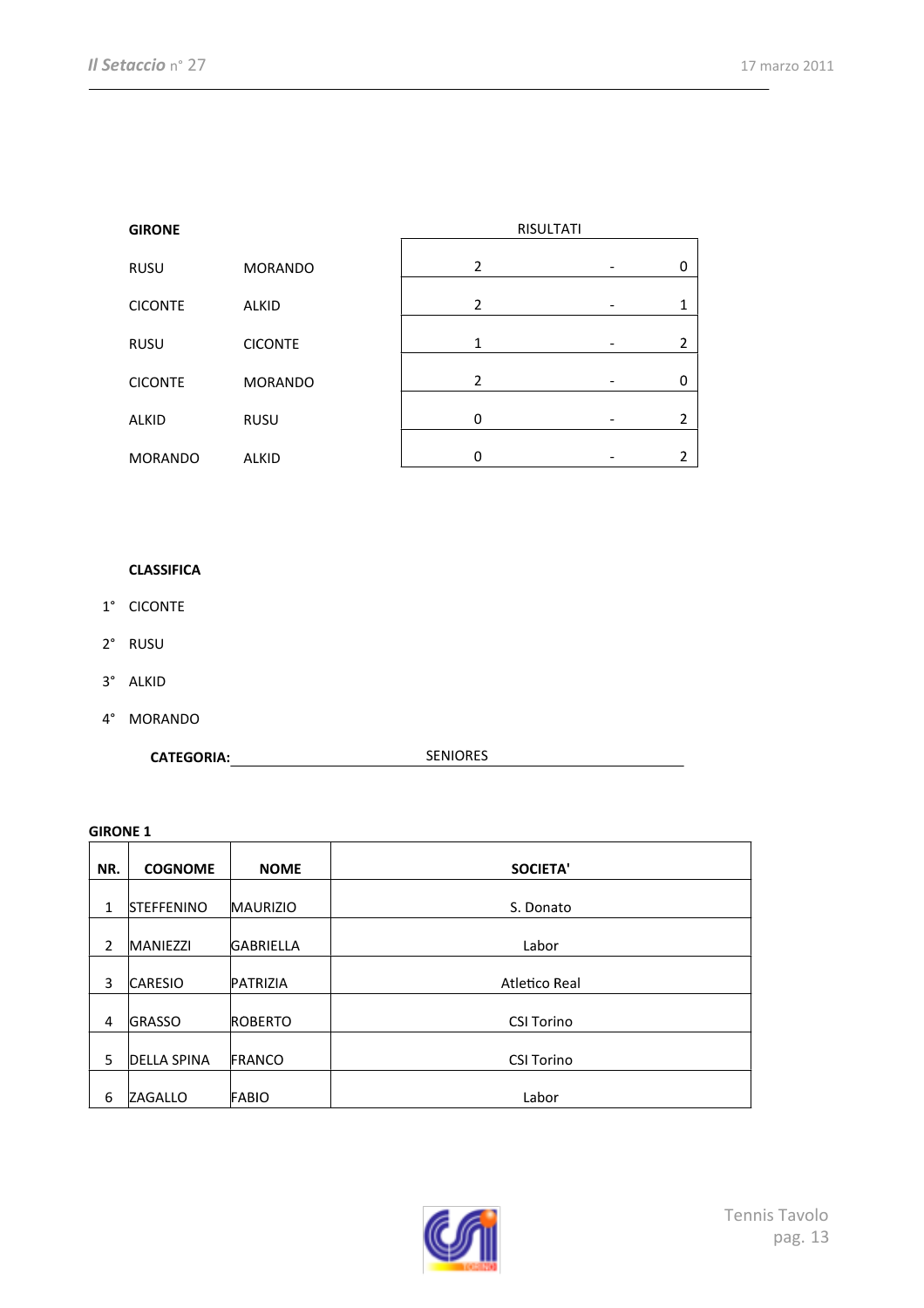| <b>GIRONE</b>  |                |   | <b>RISULTATI</b> |                |
|----------------|----------------|---|------------------|----------------|
| <b>RUSU</b>    | <b>MORANDO</b> | 2 |                  | 0              |
| <b>CICONTE</b> | <b>ALKID</b>   | 2 |                  | 1              |
| <b>RUSU</b>    | <b>CICONTE</b> | 1 |                  | $\overline{2}$ |
| <b>CICONTE</b> | <b>MORANDO</b> | 2 |                  | 0              |
| <b>ALKID</b>   | <b>RUSU</b>    | 0 |                  | 2              |
| <b>MORANDO</b> | <b>ALKID</b>   | 0 |                  | 2              |
|                |                |   |                  |                |

#### **CLASSIFICA**

- 1° CICONTE
- 2° RUSU
- 3° ALKID
- 4° MORANDO

CATEGORIA: SENIORES

| NR. | <b>COGNOME</b>     | <b>NOME</b>      | <b>SOCIETA'</b>   |
|-----|--------------------|------------------|-------------------|
| 1   | <b>STEFFENINO</b>  | <b>MAURIZIO</b>  | S. Donato         |
| 2   | <b>MANIEZZI</b>    | <b>GABRIELLA</b> | Labor             |
| 3   | <b>CARESIO</b>     | PATRIZIA         | Atletico Real     |
| 4   | <b>GRASSO</b>      | <b>ROBERTO</b>   | <b>CSI Torino</b> |
| 5   | <b>DELLA SPINA</b> | FRANCO           | <b>CSI Torino</b> |
| 6   | ZAGALLO            | <b>FABIO</b>     | Labor             |

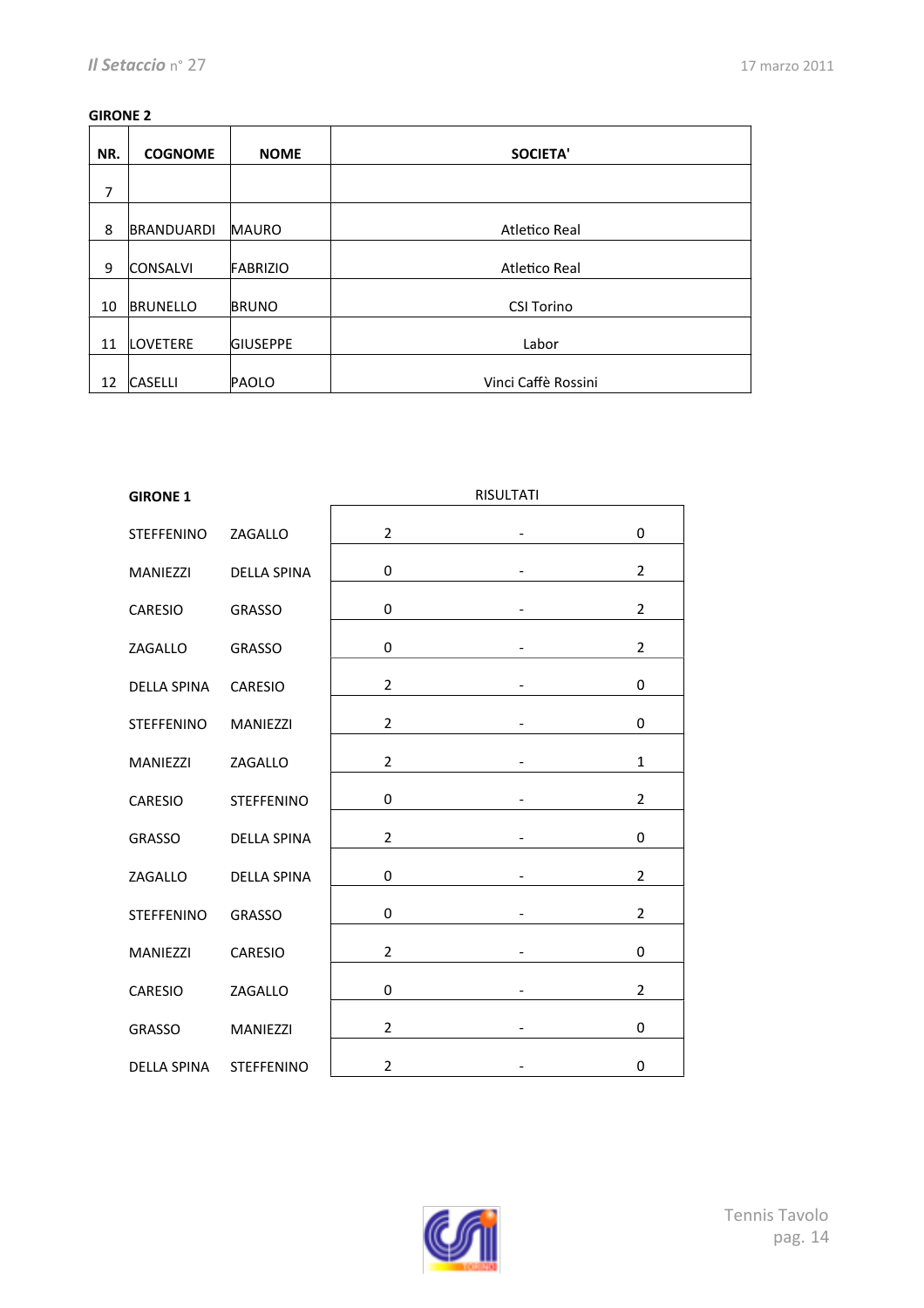| NR. | <b>COGNOME</b>  | <b>NOME</b>     | <b>SOCIETA'</b>     |
|-----|-----------------|-----------------|---------------------|
| 7   |                 |                 |                     |
| 8   | BRANDUARDI      | <b>MAURO</b>    | Atletico Real       |
| 9   | <b>CONSALVI</b> | FABRIZIO        | Atletico Real       |
| 10  | <b>BRUNELLO</b> | <b>BRUNO</b>    | <b>CSI Torino</b>   |
| 11  | <b>LOVETERE</b> | <b>GIUSEPPE</b> | Labor               |
| 12  | <b>CASELLI</b>  | PAOLO           | Vinci Caffè Rossini |

| <b>GIRONE 1</b>    |                    |                | <b>RISULTATI</b>         |                |
|--------------------|--------------------|----------------|--------------------------|----------------|
| <b>STEFFENINO</b>  | ZAGALLO            | $\overline{2}$ |                          | 0              |
| <b>MANIEZZI</b>    | <b>DELLA SPINA</b> | 0              | $\overline{\phantom{0}}$ | $\overline{2}$ |
| CARESIO            | <b>GRASSO</b>      | 0              |                          | $\overline{2}$ |
| ZAGALLO            | <b>GRASSO</b>      | 0              | -                        | $\overline{2}$ |
| <b>DELLA SPINA</b> | CARESIO            | $\overline{2}$ |                          | 0              |
| <b>STEFFENINO</b>  | MANIEZZI           | $\overline{2}$ |                          | 0              |
| <b>MANIEZZI</b>    | ZAGALLO            | $\overline{2}$ | -                        | $\mathbf{1}$   |
| <b>CARESIO</b>     | <b>STEFFENINO</b>  | 0              |                          | 2              |
| <b>GRASSO</b>      | <b>DELLA SPINA</b> | 2              | $\overline{a}$           | 0              |
| ZAGALLO            | <b>DELLA SPINA</b> | $\mathbf 0$    |                          | $\overline{2}$ |
| <b>STEFFENINO</b>  | <b>GRASSO</b>      | 0              |                          | $\overline{2}$ |
| <b>MANIEZZI</b>    | CARESIO            | $\overline{2}$ | $\overline{a}$           | 0              |
| CARESIO            | ZAGALLO            | 0              |                          | $\overline{2}$ |
| <b>GRASSO</b>      | <b>MANIEZZI</b>    | $\overline{2}$ | $\overline{a}$           | 0              |
| <b>DELLA SPINA</b> | <b>STEFFENINO</b>  | $\overline{2}$ |                          | 0              |

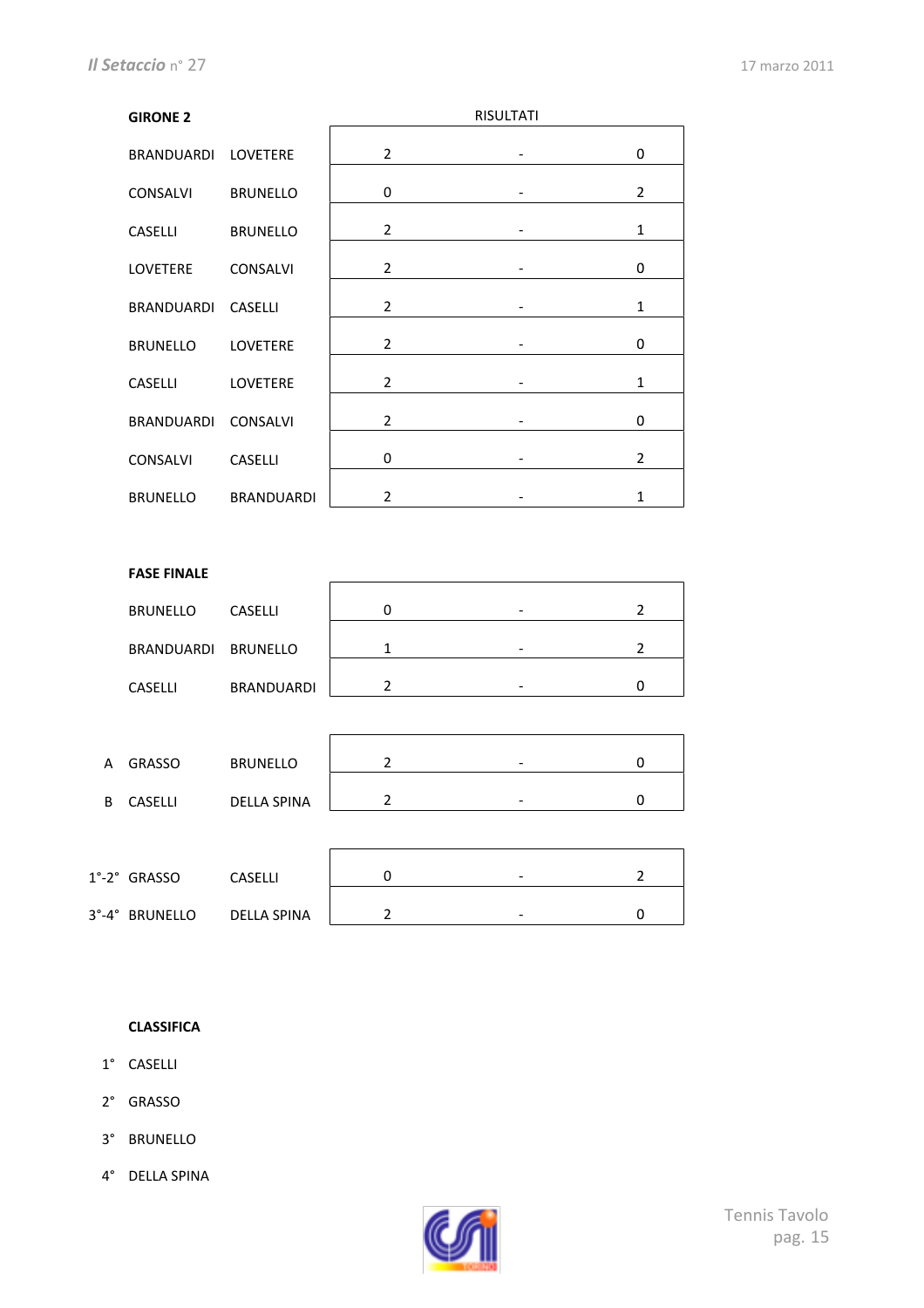| <b>GIRONE 2</b>     |                   |                | <b>RISULTATI</b> |                |
|---------------------|-------------------|----------------|------------------|----------------|
| BRANDUARDI LOVETERE |                   | $\overline{2}$ |                  | 0              |
| <b>CONSALVI</b>     | <b>BRUNELLO</b>   | 0              |                  | $\overline{2}$ |
| <b>CASELLI</b>      | <b>BRUNELLO</b>   | $\overline{2}$ |                  | $\mathbf{1}$   |
| <b>LOVETERE</b>     | <b>CONSALVI</b>   | 2              |                  | 0              |
| BRANDUARDI          | CASELLI           | 2              |                  | 1              |
| <b>BRUNELLO</b>     | <b>LOVETERE</b>   | $\overline{2}$ |                  | 0              |
| <b>CASELLI</b>      | LOVETERE          | $\overline{2}$ |                  | $\mathbf{1}$   |
| <b>BRANDUARDI</b>   | <b>CONSALVI</b>   | $\overline{2}$ |                  | 0              |
| <b>CONSALVI</b>     | <b>CASELLI</b>    | 0              |                  | $\overline{2}$ |
| <b>BRUNELLO</b>     | <b>BRANDUARDI</b> | $\overline{2}$ |                  | $\mathbf{1}$   |

#### **FASE FINALE**

| <b>BRUNELLO</b>     | <b>CASELLI</b>    | $\overline{\phantom{0}}$ |  |
|---------------------|-------------------|--------------------------|--|
| BRANDUARDI BRUNELLO |                   | -                        |  |
| <b>CASELLI</b>      | <b>BRANDUARDI</b> | -                        |  |

| А | <b>GRASSO</b>  | <b>BRUNELLO</b>    | $\overline{\phantom{0}}$ |  |
|---|----------------|--------------------|--------------------------|--|
| В | <b>CASELLI</b> | <b>DELLA SPINA</b> | $\overline{\phantom{a}}$ |  |

| $1^\circ$ -2 $^\circ$ GRASSO | <b>CASELLI</b> | - |  |
|------------------------------|----------------|---|--|
|                              |                |   |  |
| 3°-4° BRUNELLO               | DELLA SPINA    | - |  |

#### **CLASSIFICA**

- 1° CASELLI
- 2° GRASSO
- 3° BRUNELLO
- 4° DELLA!SPINA

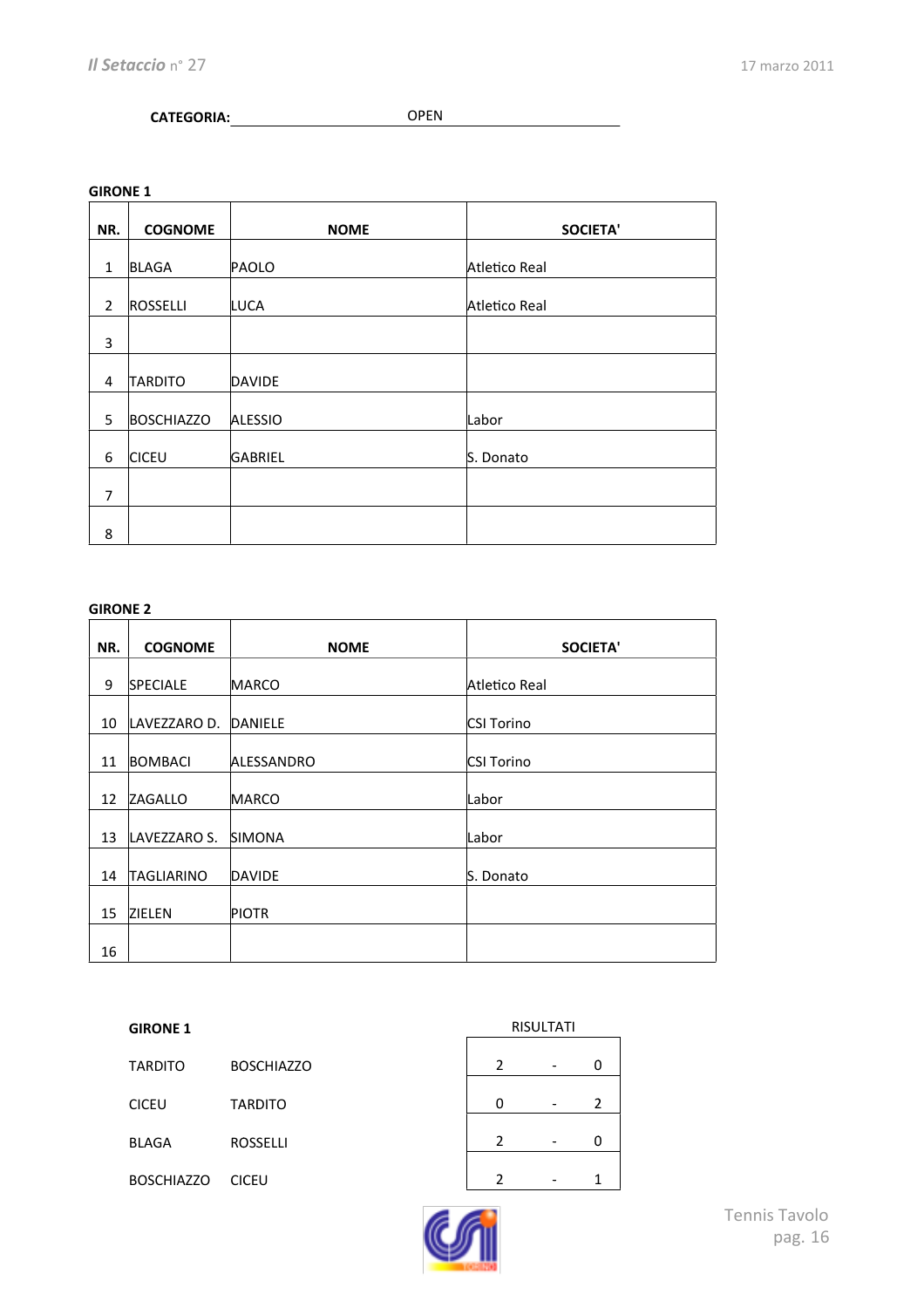### **CATEGORIA:** OPEN

**GIRONE 1** 

| NR.            | <b>COGNOME</b>    | <b>NOME</b>    | <b>SOCIETA'</b> |
|----------------|-------------------|----------------|-----------------|
|                |                   |                |                 |
| $\mathbf{1}$   | <b>BLAGA</b>      | PAOLO          | Atletico Real   |
| $\overline{2}$ | <b>ROSSELLI</b>   | LUCA           | Atletico Real   |
| 3              |                   |                |                 |
| 4              | TARDITO           | <b>DAVIDE</b>  |                 |
| 5              | <b>BOSCHIAZZO</b> | <b>ALESSIO</b> | Labor           |
| 6              | <b>CICEU</b>      | <b>GABRIEL</b> | S. Donato       |
| 7              |                   |                |                 |
| 8              |                   |                |                 |

#### **GIRONE 2**

| NR. | <b>COGNOME</b>       | <b>NOME</b>   | <b>SOCIETA'</b>   |
|-----|----------------------|---------------|-------------------|
| 9   | <b>SPECIALE</b>      | <b>MARCO</b>  | Atletico Real     |
| 10  | LAVEZZARO D. DANIELE |               | <b>CSI Torino</b> |
| 11  | BOMBACI              | ALESSANDRO    | <b>CSI Torino</b> |
| 12  | ZAGALLO              | <b>MARCO</b>  | Labor             |
| 13  | LAVEZZARO S.         | <b>SIMONA</b> | Labor             |
| 14  | <b>TAGLIARINO</b>    | DAVIDE        | S. Donato         |
| 15  | ZIELEN               | <b>PIOTR</b>  |                   |
| 16  |                      |               |                   |

| <b>TARDITO</b>    | <b>BOSCHIAZZO</b> |  |  |
|-------------------|-------------------|--|--|
| <b>CICEU</b>      | <b>TARDITO</b>    |  |  |
| <b>BLAGA</b>      | <b>ROSSELLI</b>   |  |  |
| <b>BOSCHIAZZO</b> | <b>CICEU</b>      |  |  |

| <b>RISULTATI</b> |  |   |  |  |
|------------------|--|---|--|--|
|                  |  |   |  |  |
| 2                |  | 0 |  |  |
| 0                |  | 2 |  |  |
| 2                |  | 0 |  |  |
| 2                |  |   |  |  |

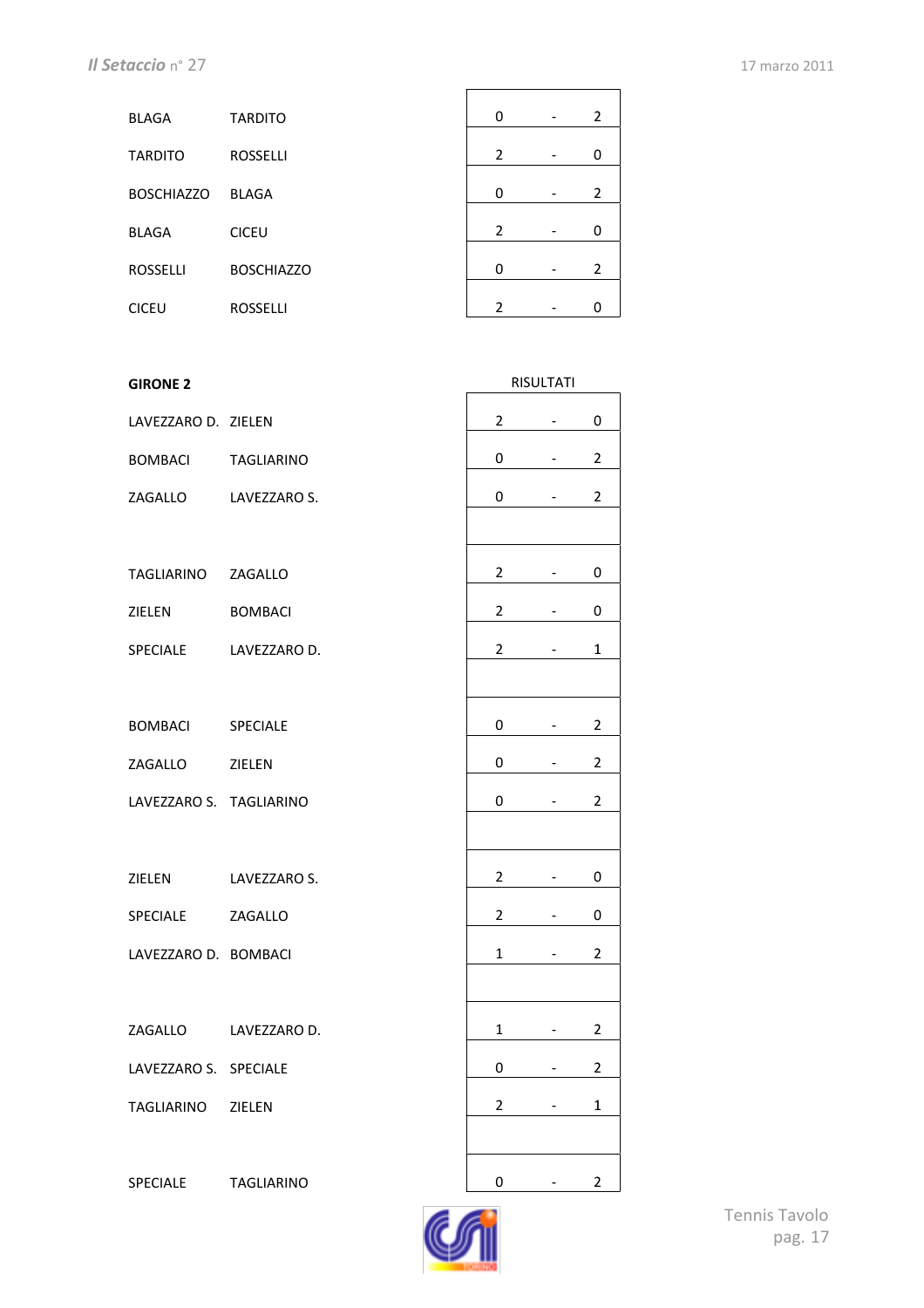| <b>BLAGA</b>      | <b>TARDITO</b>    | $\Omega$       | - | $\overline{2}$ |
|-------------------|-------------------|----------------|---|----------------|
| <b>TARDITO</b>    | <b>ROSSELLI</b>   | $\overline{2}$ |   | 0              |
| <b>BOSCHIAZZO</b> | <b>BLAGA</b>      | $\Omega$       |   | 2              |
| <b>BLAGA</b>      | <b>CICEU</b>      | $\overline{2}$ |   | 0              |
| <b>ROSSELLI</b>   | <b>BOSCHIAZZO</b> | $\Omega$       |   | 2              |
| <b>CICEU</b>      | <b>ROSSELLI</b>   | $\mathcal{P}$  |   | O              |
|                   |                   |                |   |                |

| <b>GIRONE 2</b>         |                      |                | RISULTATI |                |
|-------------------------|----------------------|----------------|-----------|----------------|
| LAVEZZARO D. ZIELEN     |                      | $\overline{2}$ |           | 0              |
| <b>BOMBACI</b>          | <b>TAGLIARINO</b>    | 0              | -         | $\overline{2}$ |
| ZAGALLO                 | LAVEZZARO S.         | 0              | -         | $\overline{2}$ |
|                         |                      |                |           |                |
| TAGLIARINO ZAGALLO      |                      | $\overline{2}$ | -         | 0              |
| ZIELEN                  | <b>BOMBACI</b>       | 2              | -         | 0              |
| <b>SPECIALE</b>         | LAVEZZARO D.         | 2              |           | 1              |
|                         |                      |                |           |                |
| <b>BOMBACI</b>          | SPECIALE             | 0              | -         | 2              |
| ZAGALLO                 | ZIELEN               | 0              |           | 2              |
| LAVEZZARO S. TAGLIARINO |                      | 0              |           | $\overline{2}$ |
|                         |                      |                |           |                |
| ZIELEN                  | LAVEZZARO S.         | 2              |           | 0              |
| SPECIALE                | ZAGALLO              | $\overline{2}$ |           | 0              |
| LAVEZZARO D. BOMBACI    |                      | $\mathbf{1}$   |           | $\overline{2}$ |
|                         |                      |                |           |                |
|                         | ZAGALLO LAVEZZARO D. | $\mathbf 1$    |           | $\overline{2}$ |
| LAVEZZARO S. SPECIALE   |                      | 0              | -         | 2              |
| TAGLIARINO              | ZIELEN               | $\overline{2}$ |           | 1              |
|                         |                      |                |           |                |
| SPECIALE                | <b>TAGLIARINO</b>    | 0              |           | 2              |